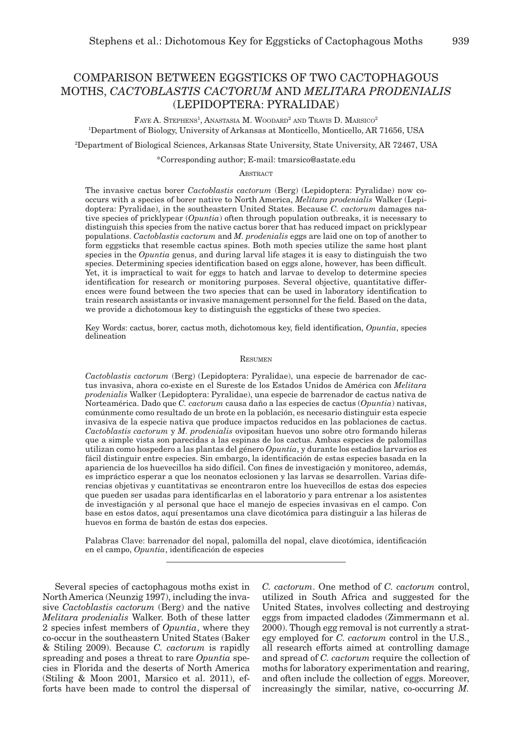# Comparison between eggsticks of two cactophagous moths, *Cactoblastis cactorum* AND *Melitara prodenialis* (Lepidoptera: Pyralidae)

FAYE A. STEPHENS<sup>1</sup>, ANASTASIA M. WOODARD<sup>2</sup> AND TRAVIS D. MARSICO<sup>2</sup> 1 Department of Biology, University of Arkansas at Monticello, Monticello, AR 71656, USA

2 Department of Biological Sciences, Arkansas State University, State University, AR 72467, USA

\*Corresponding author; E-mail: tmarsico@astate.edu

**ABSTRACT** 

The invasive cactus borer *Cactoblastis cactorum* (Berg) (Lepidoptera: Pyralidae) now cooccurs with a species of borer native to North America, *Melitara prodenialis* Walker (Lepidoptera: Pyralidae), in the southeastern United States. Because *C. cactorum* damages native species of pricklypear (*Opuntia*) often through population outbreaks, it is necessary to distinguish this species from the native cactus borer that has reduced impact on pricklypear populations. *Cactoblastis cactorum* and *M. prodenialis* eggs are laid one on top of another to form eggsticks that resemble cactus spines. Both moth species utilize the same host plant species in the *Opuntia* genus, and during larval life stages it is easy to distinguish the two species. Determining species identification based on eggs alone, however, has been difficult. Yet, it is impractical to wait for eggs to hatch and larvae to develop to determine species identification for research or monitoring purposes. Several objective, quantitative differences were found between the two species that can be used in laboratory identification to train research assistants or invasive management personnel for the field. Based on the data, we provide a dichotomous key to distinguish the eggsticks of these two species.

Key Words: cactus, borer, cactus moth, dichotomous key, field identification, *Opuntia*, species delineation

### Resumen

*Cactoblastis cactorum* (Berg) (Lepidoptera: Pyralidae), una especie de barrenador de cactus invasiva, ahora co-existe en el Sureste de los Estados Unidos de América con *Melitara prodenialis* Walker (Lepidoptera: Pyralidae), una especie de barrenador de cactus nativa de Norteamérica. Dado que *C. cactorum* causa daño a las especies de cactus (*Opuntia*) nativas, comúnmente como resultado de un brote en la población, es necesario distinguir esta especie invasiva de la especie nativa que produce impactos reducidos en las poblaciones de cactus. *Cactoblastis cactorum* y *M. prodenialis* ovipositan huevos uno sobre otro formando hileras que a simple vista son parecidas a las espinas de los cactus. Ambas especies de palomillas utilizan como hospedero a las plantas del género *Opuntia*, y durante los estadios larvarios es fácil distinguir entre especies. Sin embargo, la identificación de estas especies basada en la apariencia de los huevecillos ha sido difícil. Con fines de investigación y monitoreo, además, es impráctico esperar a que los neonatos eclosionen y las larvas se desarrollen. Varias diferencias objetivas y cuantitativas se encontraron entre los huevecillos de estas dos especies que pueden ser usadas para identificarlas en el laboratorio y para entrenar a los asistentes de investigación y al personal que hace el manejo de especies invasivas en el campo. Con base en estos datos, aquí presentamos una clave dicotómica para distinguir a las hileras de huevos en forma de bastón de estas dos especies.

Palabras Clave: barrenador del nopal, palomilla del nopal, clave dicotómica, identificación en el campo, *Opuntia*, identificación de especies

Several species of cactophagous moths exist in North America (Neunzig 1997), including the invasive *Cactoblastis cactorum* (Berg) and the native *Melitara prodenialis* Walker. Both of these latter 2 species infest members of *Opuntia*, where they co-occur in the southeastern United States (Baker & Stiling 2009). Because *C. cactorum* is rapidly spreading and poses a threat to rare *Opuntia* species in Florida and the deserts of North America (Stiling & Moon 2001, Marsico et al. 2011), efforts have been made to control the dispersal of *C. cactorum*. One method of *C. cactorum* control, utilized in South Africa and suggested for the United States, involves collecting and destroying eggs from impacted cladodes (Zimmermann et al. 2000). Though egg removal is not currently a strategy employed for *C. cactorum* control in the U.S., all research efforts aimed at controlling damage and spread of *C. cactorum* require the collection of moths for laboratory experimentation and rearing, and often include the collection of eggs. Moreover, increasingly the similar, native, co-occurring *M.*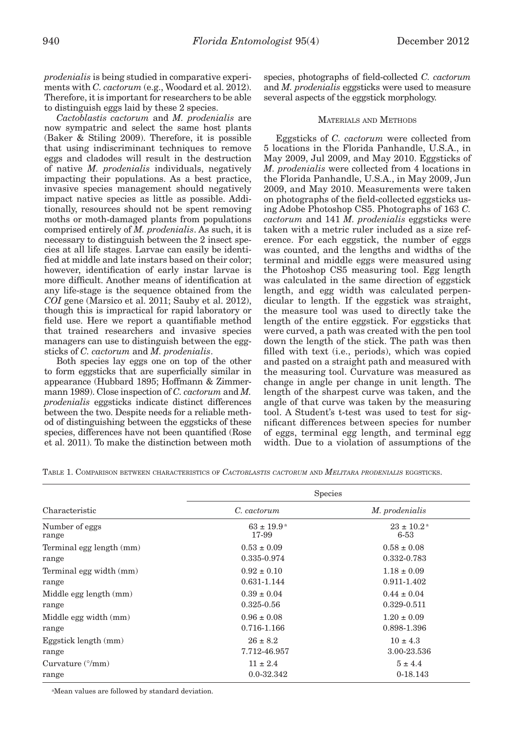*prodenialis* is being studied in comparative experiments with *C. cactorum* (e.g., Woodard et al. 2012). Therefore, it is important for researchers to be able to distinguish eggs laid by these 2 species.

*Cactoblastis cactorum* and *M. prodenialis* are now sympatric and select the same host plants (Baker & Stiling 2009). Therefore, it is possible that using indiscriminant techniques to remove eggs and cladodes will result in the destruction of native *M. prodenialis* individuals, negatively impacting their populations. As a best practice, invasive species management should negatively impact native species as little as possible. Additionally, resources should not be spent removing moths or moth-damaged plants from populations comprised entirely of *M. prodenialis*. As such, it is necessary to distinguish between the 2 insect species at all life stages. Larvae can easily be identified at middle and late instars based on their color; however, identification of early instar larvae is more difficult. Another means of identification at any life-stage is the sequence obtained from the *COI* gene (Marsico et al. 2011; Sauby et al. 2012), though this is impractical for rapid laboratory or field use. Here we report a quantifiable method that trained researchers and invasive species managers can use to distinguish between the eggsticks of *C. cactorum* and *M. prodenialis*.

Both species lay eggs one on top of the other to form eggsticks that are superficially similar in appearance (Hubbard 1895; Hoffmann & Zimmermann 1989). Close inspection of *C. cactorum* and *M. prodenialis* eggsticks indicate distinct differences between the two. Despite needs for a reliable method of distinguishing between the eggsticks of these species, differences have not been quantified (Rose et al. 2011). To make the distinction between moth

species, photographs of field-collected *C. cactorum* and *M. prodenialis* eggsticks were used to measure several aspects of the eggstick morphology.

# Materials and Methods

Eggsticks of *C. cactorum* were collected from 5 locations in the Florida Panhandle, U.S.A., in May 2009, Jul 2009, and May 2010. Eggsticks of *M. prodenialis* were collected from 4 locations in the Florida Panhandle, U.S.A., in May 2009, Jun 2009, and May 2010. Measurements were taken on photographs of the field-collected eggsticks using Adobe Photoshop CS5. Photographs of 163 *C. cactorum* and 141 *M. prodenialis* eggsticks were taken with a metric ruler included as a size reference. For each eggstick, the number of eggs was counted, and the lengths and widths of the terminal and middle eggs were measured using the Photoshop CS5 measuring tool. Egg length was calculated in the same direction of eggstick length, and egg width was calculated perpendicular to length. If the eggstick was straight, the measure tool was used to directly take the length of the entire eggstick. For eggsticks that were curved, a path was created with the pen tool down the length of the stick. The path was then filled with text (i.e., periods), which was copied and pasted on a straight path and measured with the measuring tool. Curvature was measured as change in angle per change in unit length. The length of the sharpest curve was taken, and the angle of that curve was taken by the measuring tool. A Student's t-test was used to test for significant differences between species for number of eggs, terminal egg length, and terminal egg width. Due to a violation of assumptions of the

Table 1. Comparison between characteristics of *Cactoblastis cactorum* and *Melitara prodenialis* eggsticks.

| <b>Species</b>                       |  |
|--------------------------------------|--|
| M. prodenialis                       |  |
| $23 \pm 10.2^{\text{a}}$<br>$6 - 53$ |  |
| $0.58 \pm 0.08$<br>0.332-0.783       |  |
| $1.18 \pm 0.09$<br>0.911-1.402       |  |
| $0.44 \pm 0.04$<br>0.329-0.511       |  |
| $1.20 \pm 0.09$<br>0.898-1.396       |  |
| $10 \pm 4.3$<br>3.00-23.536          |  |
| $5 \pm 4.4$<br>$0-18.143$            |  |
|                                      |  |

a Mean values are followed by standard deviation.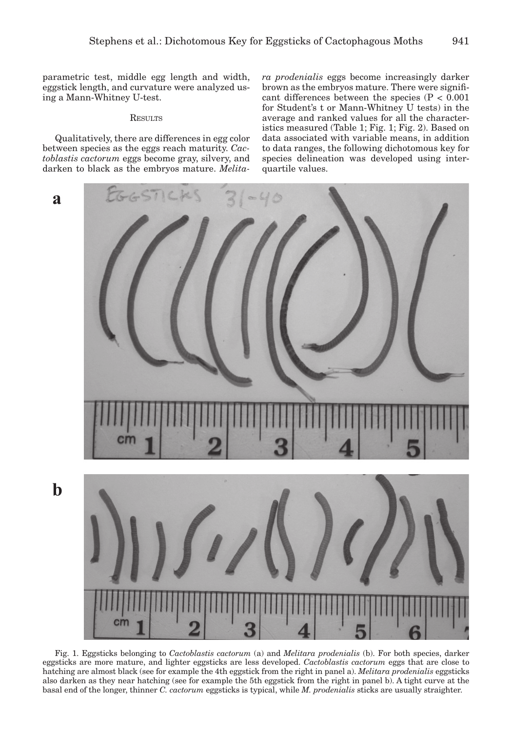parametric test, middle egg length and width, eggstick length, and curvature were analyzed using a Mann-Whitney U-test.

## **RESULTS**

Qualitatively, there are differences in egg color between species as the eggs reach maturity. *Cactoblastis cactorum* eggs become gray, silvery, and darken to black as the embryos mature. *Melita-* *ra prodenialis* eggs become increasingly darker brown as the embryos mature. There were significant differences between the species  $(P < 0.001)$ for Student's t or Mann-Whitney U tests) in the average and ranked values for all the characteristics measured (Table 1; Fig. 1; Fig. 2). Based on data associated with variable means, in addition to data ranges, the following dichotomous key for species delineation was developed using interquartile values.



Fig. 1. Eggsticks belonging to *Cactoblastis cactorum* (a) and *Melitara prodenialis* (b). For both species, darker eggsticks are more mature, and lighter eggsticks are less developed. *Cactoblastis cactorum* eggs that are close to hatching are almost black (see for example the 4th eggstick from the right in panel a). *Melitara prodenialis* eggsticks also darken as they near hatching (see for example the 5th eggstick from the right in panel b). A tight curve at the basal end of the longer, thinner *C. cactorum* eggsticks is typical, while *M. prodenialis* sticks are usually straighter.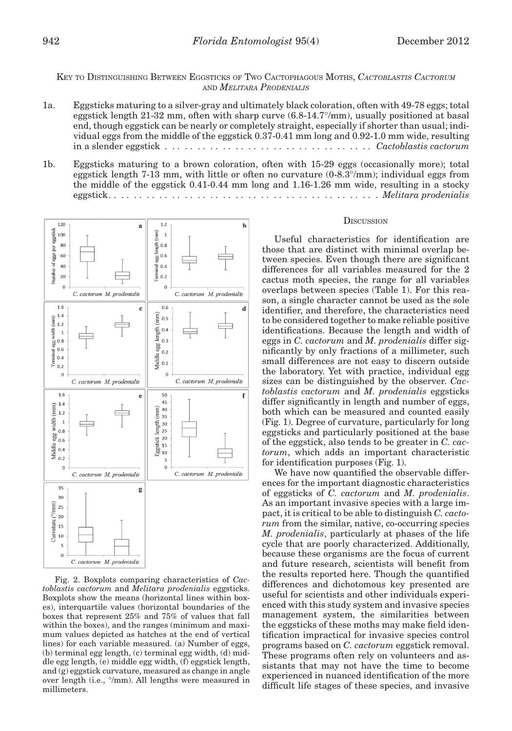# Key to Distinguishing Between Eggsticks of Two Cactophagous Moths, *Cactoblastis Cactorum* and *Melitara Prodenialis*

- 1a. Eggsticks maturing to a silver-gray and ultimately black coloration, often with 49-78 eggs; total eggstick length 21-32 mm, often with sharp curve (6.8-14.7°/mm), usually positioned at basal end, though eggstick can be nearly or completely straight, especially if shorter than usual; individual eggs from the middle of the eggstick 0.37-0.41 mm long and 0.92-1.0 mm wide, resulting in a slender eggstick . . . . . . . . . . . . . . . . . . . . . . . . . . . . . . . . . *Cactoblastis cactorum*
- 1b. Eggsticks maturing to a brown coloration, often with 15-29 eggs (occasionally more); total eggstick length 7-13 mm, with little or often no curvature (0-8.3°/mm); individual eggs from the middle of the eggstick 0.41-0.44 mm long and 1.16-1.26 mm wide, resulting in a stocky eggstick . . . . . . . . . . . . . . . . . . . . . . . . . . . . . . . . . . . . . . . . . . . *Melitara prodenialis*



Fig. 2. Boxplots comparing characteristics of *Cactoblastis cactorum* and *Melitara prodenialis* eggsticks. Boxplots show the means (horizontal lines within boxes), interquartile values (horizontal boundaries of the boxes that represent 25% and 75% of values that fall within the boxes), and the ranges (minimum and maximum values depicted as hatches at the end of vertical lines) for each variable measured. (a) Number of eggs, (b) terminal egg length, (c) terminal egg width, (d) middle egg length, (e) middle egg width, (f) eggstick length, and (g) eggstick curvature, measured as change in angle over length (i.e., °/mm). All lengths were measured in millimeters.

#### **DISCUSSION**

Useful characteristics for identification are those that are distinct with minimal overlap between species. Even though there are significant differences for all variables measured for the 2 cactus moth species, the range for all variables overlaps between species (Table 1). For this reason, a single character cannot be used as the sole identifier, and therefore, the characteristics need to be considered together to make reliable positive identifications. Because the length and width of eggs in *C. cactorum* and *M. prodenialis* differ significantly by only fractions of a millimeter, such small differences are not easy to discern outside the laboratory. Yet with practice, individual egg sizes can be distinguished by the observer. *Cactoblastis cactorum* and *M. prodenialis* eggsticks differ significantly in length and number of eggs, both which can be measured and counted easily (Fig. 1). Degree of curvature, particularly for long eggsticks and particularly positioned at the base of the eggstick, also tends to be greater in *C. cactorum*, which adds an important characteristic for identification purposes (Fig. 1).

We have now quantified the observable differences for the important diagnostic characteristics of eggsticks of *C. cactorum* and *M. prodenialis*. As an important invasive species with a large impact, it is critical to be able to distinguish *C. cactorum* from the similar, native, co-occurring species *M. prodenialis*, particularly at phases of the life cycle that are poorly characterized. Additionally, because these organisms are the focus of current and future research, scientists will benefit from the results reported here. Though the quantified differences and dichotomous key presented are useful for scientists and other individuals experienced with this study system and invasive species management system, the similarities between the eggsticks of these moths may make field identification impractical for invasive species control programs based on *C. cactorum* eggstick removal. These programs often rely on volunteers and assistants that may not have the time to become experienced in nuanced identification of the more difficult life stages of these species, and invasive